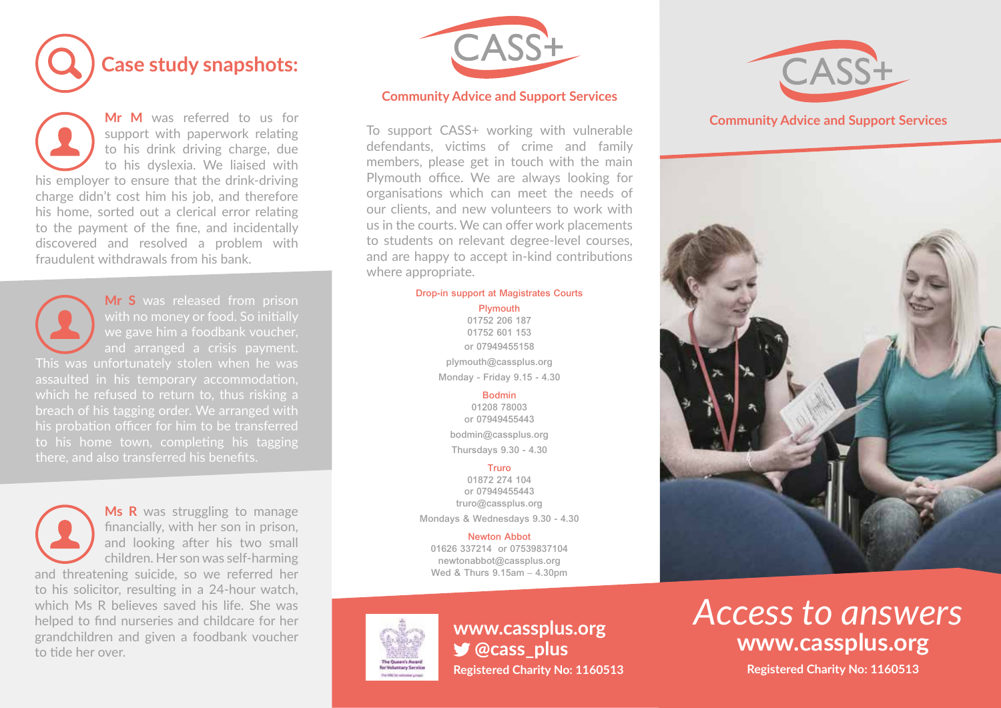

**Mr M** was referred to us for **to his driving the was referred** to as for to his drink driving charge, due to his drink driving enarge, due to his dyslexia. We liaised with to this aysicala. We hascd with this employer to ensure that the drink driving<br>charge didn't cost him his job, and therefore his home, sorted out a clerical error relating to the payment of the fine, and incidentally his home, sorted out a clerical error relating to the payment of the fine, and incidentally to the payment of the fine, and incidentally<br>discovered and resolved a problem with fraudulent withdrawals from his bank. fraudulent withdrawals from his bank.

**Mr S** was released from prison

**Mr S** was released from prison with no money or food. So initially when money of food: so infigured with the money of food: so infigured and  $\alpha$ **The state mind is collished when the water** and analiged a crisis payment.<br>This was unfortunately stolen when he was which he rerused to return to, thus risking a<br>breach of his tagging order. We arranged with his probation officer for him to be transferred to his home town, completing his tagging his probation officer for him to be transferred

**Ms R** was struggling to manage **Finally, with her son in prison,** financially, with her son in prison, and looking after his two small children. Her son was self-harming and threatening suicide, so we referred her and threatening suicide, so we referred her<br>to his solicitor, resulting in a 24-hour watch, to his solicitor, resulting in a 24 hour water, which Ms R believes saved his life. She was which is it believes saved his life. She was<br>helped to find nurseries and childcare for her grandchildren and given a foodbank voucher to tide her over. grandchildren and given a foodbank voucher to tide her over. to tide her over.



# **Community Advice and Support Services**

members, please get in touch with the main members, prease get in teach with the main Plymouth office. We are always looking for meath since: We are always foundly for organisations which can meet the needs of organisations which can meet the needs of our chemes, and new volunteers to work which us in the courts. We can offer work placements to students on relevant degree-level courses, to statement on referant aggree fever courses,<br>and are happy to accept in-kind contributions tha are happy to accept in rand contributions<br>where appropriate.  $\frac{a}{b}$ **Community Advice and Support Services** To support CASS+ working with vulnerable defendants, victims of crime and family  $arct$  appropriate. **Community Advice and Support Services**

## Drop-in support at Magistrates Courts

# **Plymouth** Plymouth

**Plymouth** 01752 206 187 / 01752 601 153 01752 601 153 **Plymouth** onded complete the contract of the contract contract contract contract contract contract contract of the contract of the contract of the contract of the contract of the contract of the contract of the contract of the contr plymouth@cassplus.org Monday - Friday 9.15 - 4.30 01752 206 187

### Monday – Friday 9.30-4.30 Bodmin Monday – Friday 9.30-4.30

**Bodmin** Bodmin@cassplus.org bodmin@cassplus.org **Bodmin** Thursdays 9.30 - 4.30 **Boding Credit Construction Bodmin** 01208 78003 or 07949455443

01872 274 104 **Truro@cassplus.org**<br>
Truro*m* 2008 456 **Truro** or 07949455443 Mondays & Wednesdays 9.30 - 4.30  $10.87 \times 10^{4}$ 

 $\frac{1}{2}$ **Trewton Abbot**<br>01626 337214 or 07539837104 newtonabbot@cassplus.org Newton Abbot Wed & Thurs 9.15am – 4.30pm



**Registered Charity No: 1160513 Registered Charity No: 1160513S** @cass plus



### **Community Advice and Support Services Community Advice and Support Services**



# www.cassplus.org<br> **MWW.cassplus.org www.cassplus.org** *Access to answers* **www.cassplus.org www.cassplus.org** *Access to answers*

**Registered Charity No: 1160513 Registered Charity No: 1160513**